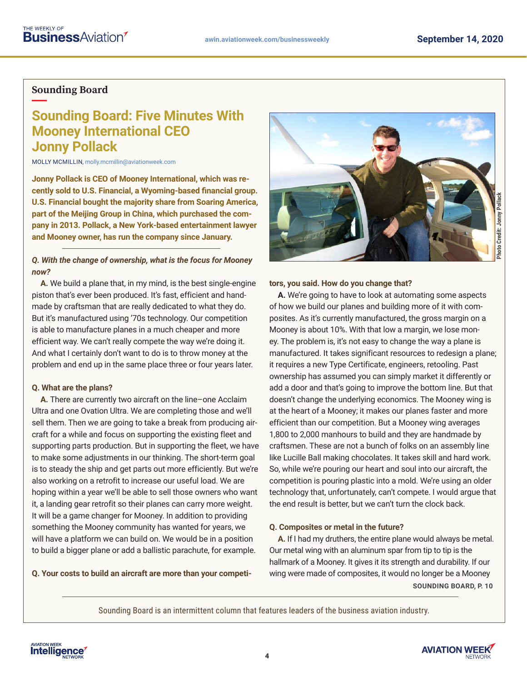## <span id="page-0-0"></span>**Sounding Board**

# **Sounding Board: Five Minutes With Mooney International CEO Jonny Pollack**

MOLLY MCMILLIN, molly.mcmillin@aviationweek.com

**Jonny Pollack is CEO of Mooney International, which was recently sold to U.S. Financial, a Wyoming-based financial group. U.S. Financial bought the majority share from Soaring America, part of the Meijing Group in China, which purchased the company in 2013. Pollack, a New York-based entertainment lawyer and Mooney owner, has run the company since January.**

## *Q. With the change of ownership, what is the focus for Mooney now?*

**A.** We build a plane that, in my mind, is the best single-engine piston that's ever been produced. It's fast, efficient and handmade by craftsman that are really dedicated to what they do. But it's manufactured using '70s technology. Our competition is able to manufacture planes in a much cheaper and more efficient way. We can't really compete the way we're doing it. And what I certainly don't want to do is to throw money at the problem and end up in the same place three or four years later.

## **Q. What are the plans?**

**A.** There are currently two aircraft on the line–one Acclaim Ultra and one Ovation Ultra. We are completing those and we'll sell them. Then we are going to take a break from producing aircraft for a while and focus on supporting the existing fleet and supporting parts production. But in supporting the fleet, we have to make some adjustments in our thinking. The short-term goal is to steady the ship and get parts out more efficiently. But we're also working on a retrofit to increase our useful load. We are hoping within a year we'll be able to sell those owners who want it, a landing gear retrofit so their planes can carry more weight. It will be a game changer for Mooney. In addition to providing something the Mooney community has wanted for years, we will have a platform we can build on. We would be in a position to build a bigger plane or add a ballistic parachute, for example.

**Q. Your costs to build an aircraft are more than your competi-**



## **tors, you said. How do you change that?**

**A.** We're going to have to look at automating some aspects of how we build our planes and building more of it with composites. As it's currently manufactured, the gross margin on a Mooney is about 10%. With that low a margin, we lose money. The problem is, it's not easy to change the way a plane is manufactured. It takes significant resources to redesign a plane; it requires a new Type Certificate, engineers, retooling. Past ownership has assumed you can simply market it differently or add a door and that's going to improve the bottom line. But that doesn't change the underlying economics. The Mooney wing is at the heart of a Mooney; it makes our planes faster and more efficient than our competition. But a Mooney wing averages 1,800 to 2,000 manhours to build and they are handmade by craftsmen. These are not a bunch of folks on an assembly line like Lucille Ball making chocolates. It takes skill and hard work. So, while we're pouring our heart and soul into our aircraft, the competition is pouring plastic into a mold. We're using an older technology that, unfortunately, can't compete. I would argue that the end result is better, but we can't turn the clock back.

## **Q. Composites or metal in the future?**

**A.** If I had my druthers, the entire plane would always be metal. Our metal wing with an aluminum spar from tip to tip is the hallmark of a Mooney. It gives it its strength and durability. If our wing were made of composites, it would no longer be a Mooney **S[OUNDING BOARD, P. 1](#page-1-0)0**

Sounding Board is an intermittent column that features leaders of the business aviation industry.